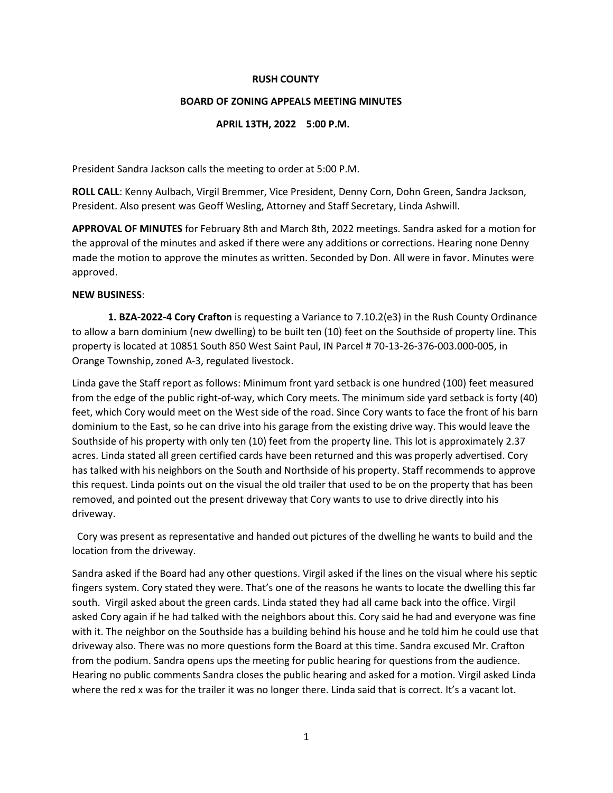## **RUSH COUNTY**

## **BOARD OF ZONING APPEALS MEETING MINUTES**

## **APRIL 13TH, 2022 5:00 P.M.**

President Sandra Jackson calls the meeting to order at 5:00 P.M.

**ROLL CALL**: Kenny Aulbach, Virgil Bremmer, Vice President, Denny Corn, Dohn Green, Sandra Jackson, President. Also present was Geoff Wesling, Attorney and Staff Secretary, Linda Ashwill.

**APPROVAL OF MINUTES** for February 8th and March 8th, 2022 meetings. Sandra asked for a motion for the approval of the minutes and asked if there were any additions or corrections. Hearing none Denny made the motion to approve the minutes as written. Seconded by Don. All were in favor. Minutes were approved.

# **NEW BUSINESS**:

**1. BZA-2022-4 Cory Crafton** is requesting a Variance to 7.10.2(e3) in the Rush County Ordinance to allow a barn dominium (new dwelling) to be built ten (10) feet on the Southside of property line. This property is located at 10851 South 850 West Saint Paul, IN Parcel # 70-13-26-376-003.000-005, in Orange Township, zoned A-3, regulated livestock.

Linda gave the Staff report as follows: Minimum front yard setback is one hundred (100) feet measured from the edge of the public right-of-way, which Cory meets. The minimum side yard setback is forty (40) feet, which Cory would meet on the West side of the road. Since Cory wants to face the front of his barn dominium to the East, so he can drive into his garage from the existing drive way. This would leave the Southside of his property with only ten (10) feet from the property line. This lot is approximately 2.37 acres. Linda stated all green certified cards have been returned and this was properly advertised. Cory has talked with his neighbors on the South and Northside of his property. Staff recommends to approve this request. Linda points out on the visual the old trailer that used to be on the property that has been removed, and pointed out the present driveway that Cory wants to use to drive directly into his driveway.

Cory was present as representative and handed out pictures of the dwelling he wants to build and the location from the driveway.

Sandra asked if the Board had any other questions. Virgil asked if the lines on the visual where his septic fingers system. Cory stated they were. That's one of the reasons he wants to locate the dwelling this far south. Virgil asked about the green cards. Linda stated they had all came back into the office. Virgil asked Cory again if he had talked with the neighbors about this. Cory said he had and everyone was fine with it. The neighbor on the Southside has a building behind his house and he told him he could use that driveway also. There was no more questions form the Board at this time. Sandra excused Mr. Crafton from the podium. Sandra opens ups the meeting for public hearing for questions from the audience. Hearing no public comments Sandra closes the public hearing and asked for a motion. Virgil asked Linda where the red x was for the trailer it was no longer there. Linda said that is correct. It's a vacant lot.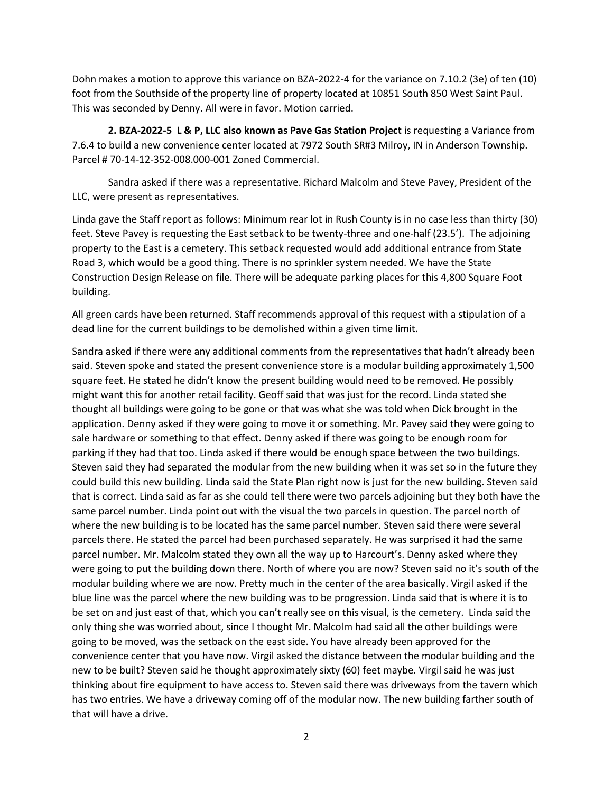Dohn makes a motion to approve this variance on BZA-2022-4 for the variance on 7.10.2 (3e) of ten (10) foot from the Southside of the property line of property located at 10851 South 850 West Saint Paul. This was seconded by Denny. All were in favor. Motion carried.

**2. BZA-2022-5 L & P, LLC also known as Pave Gas Station Project** is requesting a Variance from 7.6.4 to build a new convenience center located at 7972 South SR#3 Milroy, IN in Anderson Township. Parcel # 70-14-12-352-008.000-001 Zoned Commercial.

Sandra asked if there was a representative. Richard Malcolm and Steve Pavey, President of the LLC, were present as representatives.

Linda gave the Staff report as follows: Minimum rear lot in Rush County is in no case less than thirty (30) feet. Steve Pavey is requesting the East setback to be twenty-three and one-half (23.5'). The adjoining property to the East is a cemetery. This setback requested would add additional entrance from State Road 3, which would be a good thing. There is no sprinkler system needed. We have the State Construction Design Release on file. There will be adequate parking places for this 4,800 Square Foot building.

All green cards have been returned. Staff recommends approval of this request with a stipulation of a dead line for the current buildings to be demolished within a given time limit.

Sandra asked if there were any additional comments from the representatives that hadn't already been said. Steven spoke and stated the present convenience store is a modular building approximately 1,500 square feet. He stated he didn't know the present building would need to be removed. He possibly might want this for another retail facility. Geoff said that was just for the record. Linda stated she thought all buildings were going to be gone or that was what she was told when Dick brought in the application. Denny asked if they were going to move it or something. Mr. Pavey said they were going to sale hardware or something to that effect. Denny asked if there was going to be enough room for parking if they had that too. Linda asked if there would be enough space between the two buildings. Steven said they had separated the modular from the new building when it was set so in the future they could build this new building. Linda said the State Plan right now is just for the new building. Steven said that is correct. Linda said as far as she could tell there were two parcels adjoining but they both have the same parcel number. Linda point out with the visual the two parcels in question. The parcel north of where the new building is to be located has the same parcel number. Steven said there were several parcels there. He stated the parcel had been purchased separately. He was surprised it had the same parcel number. Mr. Malcolm stated they own all the way up to Harcourt's. Denny asked where they were going to put the building down there. North of where you are now? Steven said no it's south of the modular building where we are now. Pretty much in the center of the area basically. Virgil asked if the blue line was the parcel where the new building was to be progression. Linda said that is where it is to be set on and just east of that, which you can't really see on this visual, is the cemetery. Linda said the only thing she was worried about, since I thought Mr. Malcolm had said all the other buildings were going to be moved, was the setback on the east side. You have already been approved for the convenience center that you have now. Virgil asked the distance between the modular building and the new to be built? Steven said he thought approximately sixty (60) feet maybe. Virgil said he was just thinking about fire equipment to have access to. Steven said there was driveways from the tavern which has two entries. We have a driveway coming off of the modular now. The new building farther south of that will have a drive.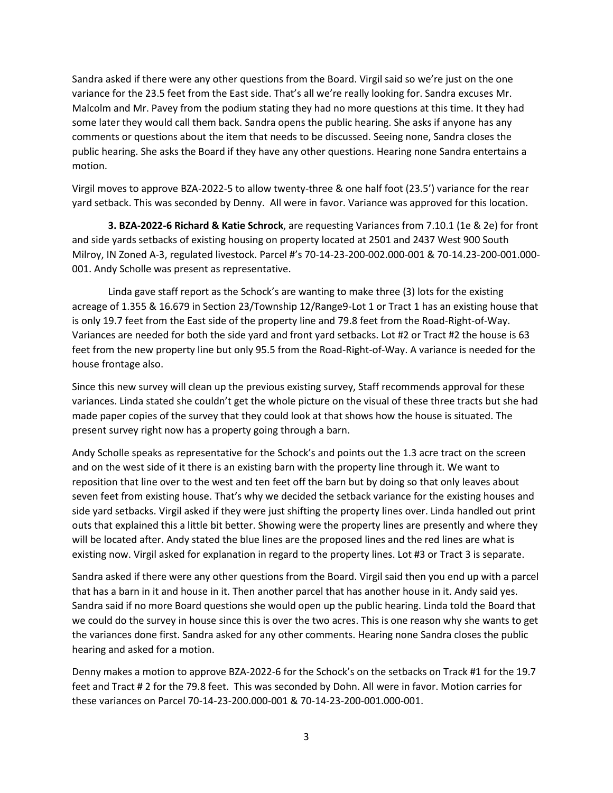Sandra asked if there were any other questions from the Board. Virgil said so we're just on the one variance for the 23.5 feet from the East side. That's all we're really looking for. Sandra excuses Mr. Malcolm and Mr. Pavey from the podium stating they had no more questions at this time. It they had some later they would call them back. Sandra opens the public hearing. She asks if anyone has any comments or questions about the item that needs to be discussed. Seeing none, Sandra closes the public hearing. She asks the Board if they have any other questions. Hearing none Sandra entertains a motion.

Virgil moves to approve BZA-2022-5 to allow twenty-three & one half foot (23.5') variance for the rear yard setback. This was seconded by Denny. All were in favor. Variance was approved for this location.

**3. BZA-2022-6 Richard & Katie Schrock**, are requesting Variances from 7.10.1 (1e & 2e) for front and side yards setbacks of existing housing on property located at 2501 and 2437 West 900 South Milroy, IN Zoned A-3, regulated livestock. Parcel #'s 70-14-23-200-002.000-001 & 70-14.23-200-001.000- 001. Andy Scholle was present as representative.

Linda gave staff report as the Schock's are wanting to make three (3) lots for the existing acreage of 1.355 & 16.679 in Section 23/Township 12/Range9-Lot 1 or Tract 1 has an existing house that is only 19.7 feet from the East side of the property line and 79.8 feet from the Road-Right-of-Way. Variances are needed for both the side yard and front yard setbacks. Lot #2 or Tract #2 the house is 63 feet from the new property line but only 95.5 from the Road-Right-of-Way. A variance is needed for the house frontage also.

Since this new survey will clean up the previous existing survey, Staff recommends approval for these variances. Linda stated she couldn't get the whole picture on the visual of these three tracts but she had made paper copies of the survey that they could look at that shows how the house is situated. The present survey right now has a property going through a barn.

Andy Scholle speaks as representative for the Schock's and points out the 1.3 acre tract on the screen and on the west side of it there is an existing barn with the property line through it. We want to reposition that line over to the west and ten feet off the barn but by doing so that only leaves about seven feet from existing house. That's why we decided the setback variance for the existing houses and side yard setbacks. Virgil asked if they were just shifting the property lines over. Linda handled out print outs that explained this a little bit better. Showing were the property lines are presently and where they will be located after. Andy stated the blue lines are the proposed lines and the red lines are what is existing now. Virgil asked for explanation in regard to the property lines. Lot #3 or Tract 3 is separate.

Sandra asked if there were any other questions from the Board. Virgil said then you end up with a parcel that has a barn in it and house in it. Then another parcel that has another house in it. Andy said yes. Sandra said if no more Board questions she would open up the public hearing. Linda told the Board that we could do the survey in house since this is over the two acres. This is one reason why she wants to get the variances done first. Sandra asked for any other comments. Hearing none Sandra closes the public hearing and asked for a motion.

Denny makes a motion to approve BZA-2022-6 for the Schock's on the setbacks on Track #1 for the 19.7 feet and Tract # 2 for the 79.8 feet. This was seconded by Dohn. All were in favor. Motion carries for these variances on Parcel 70-14-23-200.000-001 & 70-14-23-200-001.000-001.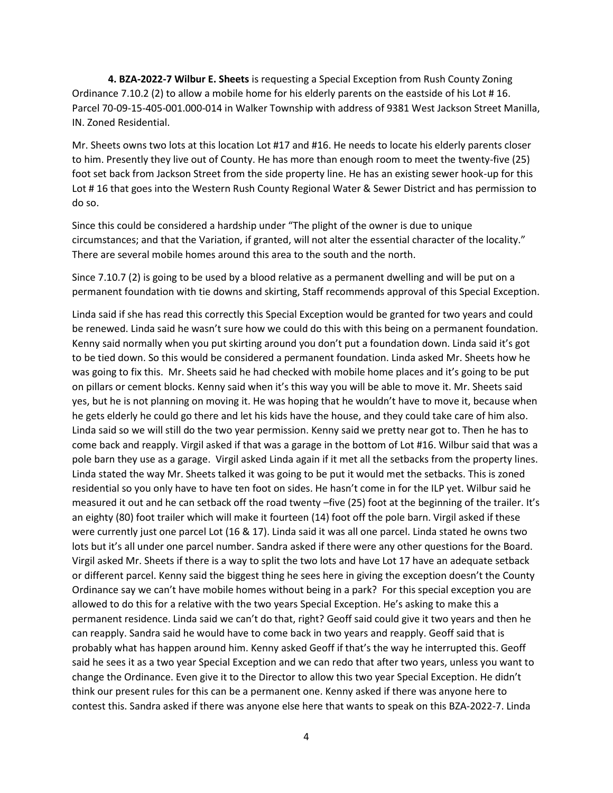**4. BZA-2022-7 Wilbur E. Sheets** is requesting a Special Exception from Rush County Zoning Ordinance 7.10.2 (2) to allow a mobile home for his elderly parents on the eastside of his Lot # 16. Parcel 70-09-15-405-001.000-014 in Walker Township with address of 9381 West Jackson Street Manilla, IN. Zoned Residential.

Mr. Sheets owns two lots at this location Lot #17 and #16. He needs to locate his elderly parents closer to him. Presently they live out of County. He has more than enough room to meet the twenty-five (25) foot set back from Jackson Street from the side property line. He has an existing sewer hook-up for this Lot #16 that goes into the Western Rush County Regional Water & Sewer District and has permission to do so.

Since this could be considered a hardship under "The plight of the owner is due to unique circumstances; and that the Variation, if granted, will not alter the essential character of the locality." There are several mobile homes around this area to the south and the north.

Since 7.10.7 (2) is going to be used by a blood relative as a permanent dwelling and will be put on a permanent foundation with tie downs and skirting, Staff recommends approval of this Special Exception.

Linda said if she has read this correctly this Special Exception would be granted for two years and could be renewed. Linda said he wasn't sure how we could do this with this being on a permanent foundation. Kenny said normally when you put skirting around you don't put a foundation down. Linda said it's got to be tied down. So this would be considered a permanent foundation. Linda asked Mr. Sheets how he was going to fix this. Mr. Sheets said he had checked with mobile home places and it's going to be put on pillars or cement blocks. Kenny said when it's this way you will be able to move it. Mr. Sheets said yes, but he is not planning on moving it. He was hoping that he wouldn't have to move it, because when he gets elderly he could go there and let his kids have the house, and they could take care of him also. Linda said so we will still do the two year permission. Kenny said we pretty near got to. Then he has to come back and reapply. Virgil asked if that was a garage in the bottom of Lot #16. Wilbur said that was a pole barn they use as a garage. Virgil asked Linda again if it met all the setbacks from the property lines. Linda stated the way Mr. Sheets talked it was going to be put it would met the setbacks. This is zoned residential so you only have to have ten foot on sides. He hasn't come in for the ILP yet. Wilbur said he measured it out and he can setback off the road twenty –five (25) foot at the beginning of the trailer. It's an eighty (80) foot trailer which will make it fourteen (14) foot off the pole barn. Virgil asked if these were currently just one parcel Lot (16 & 17). Linda said it was all one parcel. Linda stated he owns two lots but it's all under one parcel number. Sandra asked if there were any other questions for the Board. Virgil asked Mr. Sheets if there is a way to split the two lots and have Lot 17 have an adequate setback or different parcel. Kenny said the biggest thing he sees here in giving the exception doesn't the County Ordinance say we can't have mobile homes without being in a park? For this special exception you are allowed to do this for a relative with the two years Special Exception. He's asking to make this a permanent residence. Linda said we can't do that, right? Geoff said could give it two years and then he can reapply. Sandra said he would have to come back in two years and reapply. Geoff said that is probably what has happen around him. Kenny asked Geoff if that's the way he interrupted this. Geoff said he sees it as a two year Special Exception and we can redo that after two years, unless you want to change the Ordinance. Even give it to the Director to allow this two year Special Exception. He didn't think our present rules for this can be a permanent one. Kenny asked if there was anyone here to contest this. Sandra asked if there was anyone else here that wants to speak on this BZA-2022-7. Linda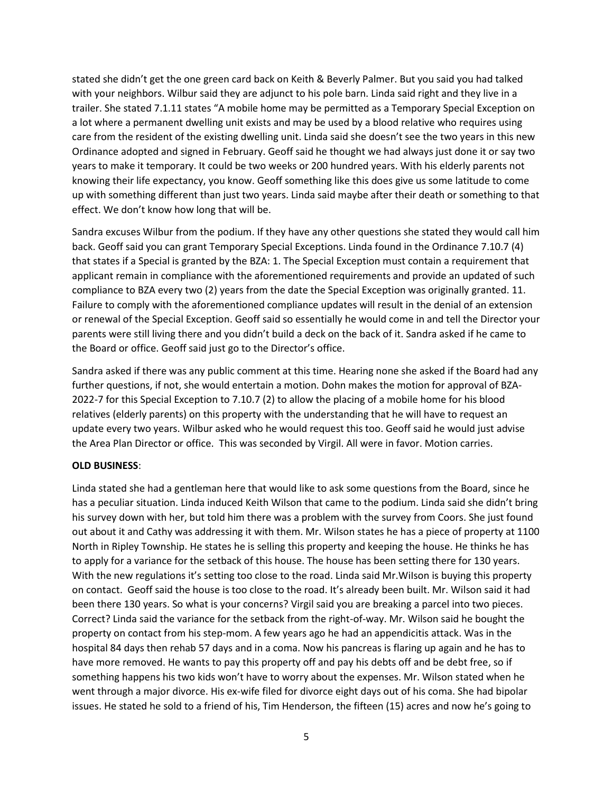stated she didn't get the one green card back on Keith & Beverly Palmer. But you said you had talked with your neighbors. Wilbur said they are adjunct to his pole barn. Linda said right and they live in a trailer. She stated 7.1.11 states "A mobile home may be permitted as a Temporary Special Exception on a lot where a permanent dwelling unit exists and may be used by a blood relative who requires using care from the resident of the existing dwelling unit. Linda said she doesn't see the two years in this new Ordinance adopted and signed in February. Geoff said he thought we had always just done it or say two years to make it temporary. It could be two weeks or 200 hundred years. With his elderly parents not knowing their life expectancy, you know. Geoff something like this does give us some latitude to come up with something different than just two years. Linda said maybe after their death or something to that effect. We don't know how long that will be.

Sandra excuses Wilbur from the podium. If they have any other questions she stated they would call him back. Geoff said you can grant Temporary Special Exceptions. Linda found in the Ordinance 7.10.7 (4) that states if a Special is granted by the BZA: 1. The Special Exception must contain a requirement that applicant remain in compliance with the aforementioned requirements and provide an updated of such compliance to BZA every two (2) years from the date the Special Exception was originally granted. 11. Failure to comply with the aforementioned compliance updates will result in the denial of an extension or renewal of the Special Exception. Geoff said so essentially he would come in and tell the Director your parents were still living there and you didn't build a deck on the back of it. Sandra asked if he came to the Board or office. Geoff said just go to the Director's office.

Sandra asked if there was any public comment at this time. Hearing none she asked if the Board had any further questions, if not, she would entertain a motion. Dohn makes the motion for approval of BZA-2022-7 for this Special Exception to 7.10.7 (2) to allow the placing of a mobile home for his blood relatives (elderly parents) on this property with the understanding that he will have to request an update every two years. Wilbur asked who he would request this too. Geoff said he would just advise the Area Plan Director or office. This was seconded by Virgil. All were in favor. Motion carries.

### **OLD BUSINESS**:

Linda stated she had a gentleman here that would like to ask some questions from the Board, since he has a peculiar situation. Linda induced Keith Wilson that came to the podium. Linda said she didn't bring his survey down with her, but told him there was a problem with the survey from Coors. She just found out about it and Cathy was addressing it with them. Mr. Wilson states he has a piece of property at 1100 North in Ripley Township. He states he is selling this property and keeping the house. He thinks he has to apply for a variance for the setback of this house. The house has been setting there for 130 years. With the new regulations it's setting too close to the road. Linda said Mr. Wilson is buying this property on contact. Geoff said the house is too close to the road. It's already been built. Mr. Wilson said it had been there 130 years. So what is your concerns? Virgil said you are breaking a parcel into two pieces. Correct? Linda said the variance for the setback from the right-of-way. Mr. Wilson said he bought the property on contact from his step-mom. A few years ago he had an appendicitis attack. Was in the hospital 84 days then rehab 57 days and in a coma. Now his pancreas is flaring up again and he has to have more removed. He wants to pay this property off and pay his debts off and be debt free, so if something happens his two kids won't have to worry about the expenses. Mr. Wilson stated when he went through a major divorce. His ex-wife filed for divorce eight days out of his coma. She had bipolar issues. He stated he sold to a friend of his, Tim Henderson, the fifteen (15) acres and now he's going to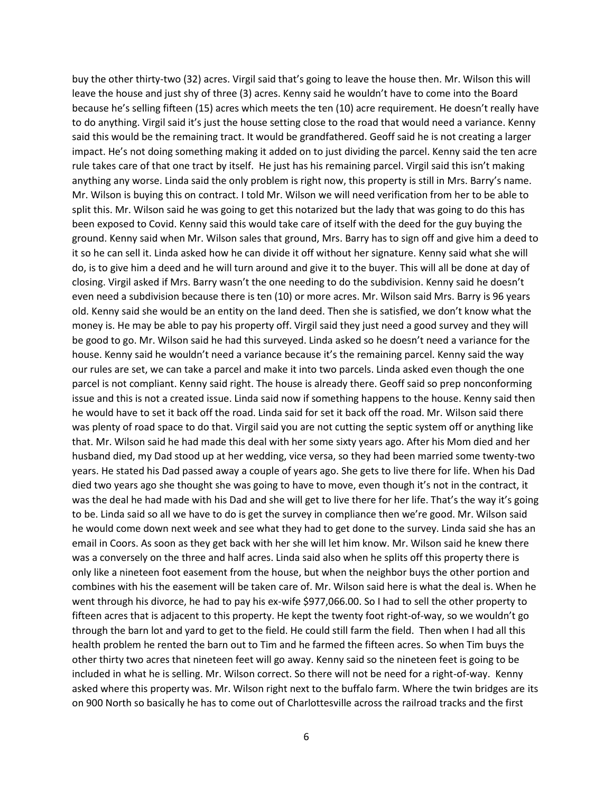buy the other thirty-two (32) acres. Virgil said that's going to leave the house then. Mr. Wilson this will leave the house and just shy of three (3) acres. Kenny said he wouldn't have to come into the Board because he's selling fifteen (15) acres which meets the ten (10) acre requirement. He doesn't really have to do anything. Virgil said it's just the house setting close to the road that would need a variance. Kenny said this would be the remaining tract. It would be grandfathered. Geoff said he is not creating a larger impact. He's not doing something making it added on to just dividing the parcel. Kenny said the ten acre rule takes care of that one tract by itself. He just has his remaining parcel. Virgil said this isn't making anything any worse. Linda said the only problem is right now, this property is still in Mrs. Barry's name. Mr. Wilson is buying this on contract. I told Mr. Wilson we will need verification from her to be able to split this. Mr. Wilson said he was going to get this notarized but the lady that was going to do this has been exposed to Covid. Kenny said this would take care of itself with the deed for the guy buying the ground. Kenny said when Mr. Wilson sales that ground, Mrs. Barry has to sign off and give him a deed to it so he can sell it. Linda asked how he can divide it off without her signature. Kenny said what she will do, is to give him a deed and he will turn around and give it to the buyer. This will all be done at day of closing. Virgil asked if Mrs. Barry wasn't the one needing to do the subdivision. Kenny said he doesn't even need a subdivision because there is ten (10) or more acres. Mr. Wilson said Mrs. Barry is 96 years old. Kenny said she would be an entity on the land deed. Then she is satisfied, we don't know what the money is. He may be able to pay his property off. Virgil said they just need a good survey and they will be good to go. Mr. Wilson said he had this surveyed. Linda asked so he doesn't need a variance for the house. Kenny said he wouldn't need a variance because it's the remaining parcel. Kenny said the way our rules are set, we can take a parcel and make it into two parcels. Linda asked even though the one parcel is not compliant. Kenny said right. The house is already there. Geoff said so prep nonconforming issue and this is not a created issue. Linda said now if something happens to the house. Kenny said then he would have to set it back off the road. Linda said for set it back off the road. Mr. Wilson said there was plenty of road space to do that. Virgil said you are not cutting the septic system off or anything like that. Mr. Wilson said he had made this deal with her some sixty years ago. After his Mom died and her husband died, my Dad stood up at her wedding, vice versa, so they had been married some twenty-two years. He stated his Dad passed away a couple of years ago. She gets to live there for life. When his Dad died two years ago she thought she was going to have to move, even though it's not in the contract, it was the deal he had made with his Dad and she will get to live there for her life. That's the way it's going to be. Linda said so all we have to do is get the survey in compliance then we're good. Mr. Wilson said he would come down next week and see what they had to get done to the survey. Linda said she has an email in Coors. As soon as they get back with her she will let him know. Mr. Wilson said he knew there was a conversely on the three and half acres. Linda said also when he splits off this property there is only like a nineteen foot easement from the house, but when the neighbor buys the other portion and combines with his the easement will be taken care of. Mr. Wilson said here is what the deal is. When he went through his divorce, he had to pay his ex-wife \$977,066.00. So I had to sell the other property to fifteen acres that is adjacent to this property. He kept the twenty foot right-of-way, so we wouldn't go through the barn lot and yard to get to the field. He could still farm the field. Then when I had all this health problem he rented the barn out to Tim and he farmed the fifteen acres. So when Tim buys the other thirty two acres that nineteen feet will go away. Kenny said so the nineteen feet is going to be included in what he is selling. Mr. Wilson correct. So there will not be need for a right-of-way. Kenny asked where this property was. Mr. Wilson right next to the buffalo farm. Where the twin bridges are its on 900 North so basically he has to come out of Charlottesville across the railroad tracks and the first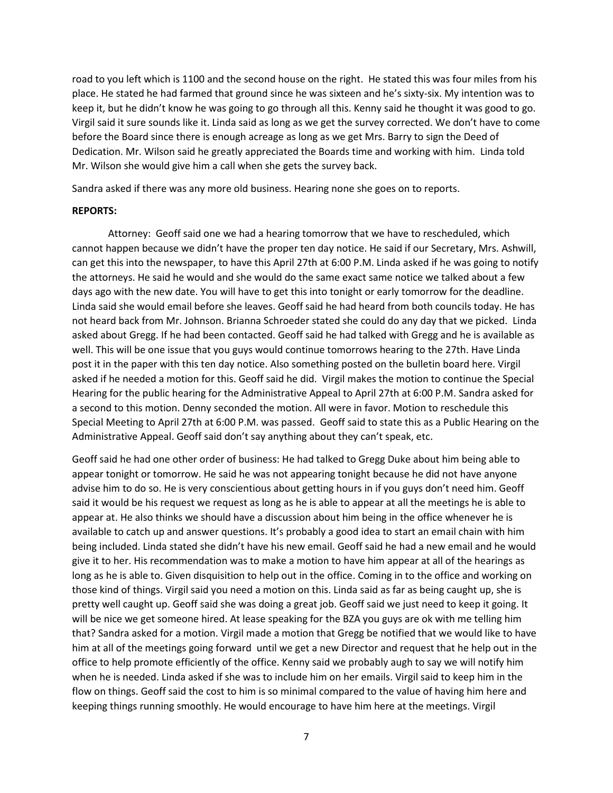road to you left which is 1100 and the second house on the right. He stated this was four miles from his place. He stated he had farmed that ground since he was sixteen and he's sixty-six. My intention was to keep it, but he didn't know he was going to go through all this. Kenny said he thought it was good to go. Virgil said it sure sounds like it. Linda said as long as we get the survey corrected. We don't have to come before the Board since there is enough acreage as long as we get Mrs. Barry to sign the Deed of Dedication. Mr. Wilson said he greatly appreciated the Boards time and working with him. Linda told Mr. Wilson she would give him a call when she gets the survey back.

Sandra asked if there was any more old business. Hearing none she goes on to reports.

#### **REPORTS:**

Attorney: Geoff said one we had a hearing tomorrow that we have to rescheduled, which cannot happen because we didn't have the proper ten day notice. He said if our Secretary, Mrs. Ashwill, can get this into the newspaper, to have this April 27th at 6:00 P.M. Linda asked if he was going to notify the attorneys. He said he would and she would do the same exact same notice we talked about a few days ago with the new date. You will have to get this into tonight or early tomorrow for the deadline. Linda said she would email before she leaves. Geoff said he had heard from both councils today. He has not heard back from Mr. Johnson. Brianna Schroeder stated she could do any day that we picked. Linda asked about Gregg. If he had been contacted. Geoff said he had talked with Gregg and he is available as well. This will be one issue that you guys would continue tomorrows hearing to the 27th. Have Linda post it in the paper with this ten day notice. Also something posted on the bulletin board here. Virgil asked if he needed a motion for this. Geoff said he did. Virgil makes the motion to continue the Special Hearing for the public hearing for the Administrative Appeal to April 27th at 6:00 P.M. Sandra asked for a second to this motion. Denny seconded the motion. All were in favor. Motion to reschedule this Special Meeting to April 27th at 6:00 P.M. was passed. Geoff said to state this as a Public Hearing on the Administrative Appeal. Geoff said don't say anything about they can't speak, etc.

Geoff said he had one other order of business: He had talked to Gregg Duke about him being able to appear tonight or tomorrow. He said he was not appearing tonight because he did not have anyone advise him to do so. He is very conscientious about getting hours in if you guys don't need him. Geoff said it would be his request we request as long as he is able to appear at all the meetings he is able to appear at. He also thinks we should have a discussion about him being in the office whenever he is available to catch up and answer questions. It's probably a good idea to start an email chain with him being included. Linda stated she didn't have his new email. Geoff said he had a new email and he would give it to her. His recommendation was to make a motion to have him appear at all of the hearings as long as he is able to. Given disquisition to help out in the office. Coming in to the office and working on those kind of things. Virgil said you need a motion on this. Linda said as far as being caught up, she is pretty well caught up. Geoff said she was doing a great job. Geoff said we just need to keep it going. It will be nice we get someone hired. At lease speaking for the BZA you guys are ok with me telling him that? Sandra asked for a motion. Virgil made a motion that Gregg be notified that we would like to have him at all of the meetings going forward until we get a new Director and request that he help out in the office to help promote efficiently of the office. Kenny said we probably augh to say we will notify him when he is needed. Linda asked if she was to include him on her emails. Virgil said to keep him in the flow on things. Geoff said the cost to him is so minimal compared to the value of having him here and keeping things running smoothly. He would encourage to have him here at the meetings. Virgil